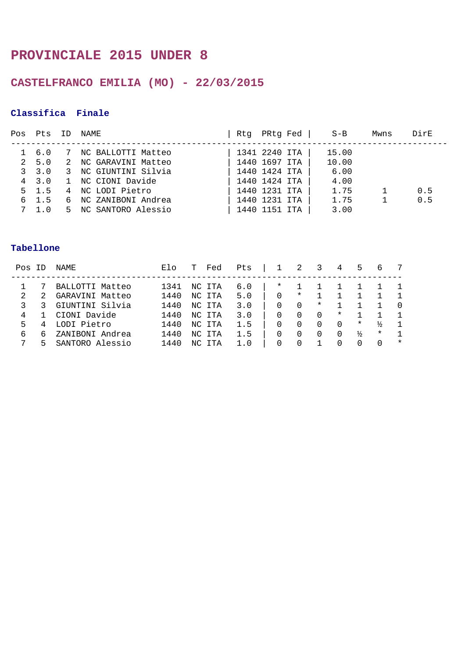## **PROVINCIALE 2015 UNDER 8**

## **CASTELFRANCO EMILIA (MO) - 22/03/2015**

### **Classifica Finale**

| Pos | Pts           | ID | NAME                 | Rtq | PRtg Fed      | $S-B$ | Mwns | DirE |
|-----|---------------|----|----------------------|-----|---------------|-------|------|------|
|     |               |    |                      |     |               |       |      |      |
|     | 6.0           |    | NC BALLOTTI Matteo   |     | 1341 2240 ITA | 15.00 |      |      |
|     | 2, 5, 0       | 2  | NC GARAVINI Matteo   |     | 1440 1697 ITA | 10.00 |      |      |
|     | 3, 3, 0       |    | 3 NC GIUNTINI Silvia |     | 1440 1424 ITA | 6.00  |      |      |
|     | $4 \quad 3.0$ |    | 1 NC CIONI Davide    |     | 1440 1424 ITA | 4.00  |      |      |
|     | $5 \quad 1.5$ |    | 4 NC LODI Pietro     |     | 1440 1231 ITA | 1.75  |      | 0.5  |
| 6   | 1.5           |    | NC ZANIBONI Andrea   |     | 1440 1231 ITA | 1.75  |      | 0.5  |
|     | 1.0           | 5. | NC SANTORO Alessio   |     | 1440 1151 ITA | 3.00  |      |      |
|     |               |    |                      |     |               |       |      |      |

| Pos | $\Box$ | Elo<br>Pts<br>Fed<br>NAME |      |     |        | 3   | 4        | 5        | b        |          |               |          |         |
|-----|--------|---------------------------|------|-----|--------|-----|----------|----------|----------|----------|---------------|----------|---------|
|     |        | BALLOTTI Matteo           | 1341 |     | NC ITA | 6.0 | $^\star$ |          |          |          |               |          |         |
| 2   |        | GARAVINI Matteo           | 1440 |     | NC ITA | 5.0 | $\Omega$ | $^\star$ |          |          |               |          |         |
|     |        | GIUNTINI Silvia           | 1440 |     | NC ITA | 3.0 | $\Omega$ | $\Omega$ | $^\star$ |          |               |          |         |
| 4   |        | CIONI Davide              | 1440 |     | NC ITA | 3.0 | O        |          | 0        | $^\star$ |               |          |         |
| 5   |        | LODI Pietro               | 1440 |     | NC ITA | 1.5 |          |          |          | $\Omega$ | $\ast$        | ⅓        |         |
| 6   | 6      | ZANIBONI Andrea           | 1440 | NC. | ITA    | 1.5 | 0        |          | 0        | 0        | $\frac{1}{2}$ | $^\star$ |         |
| 7   | ↳      | SANTORO Alessio           | 1440 | NC  | TTA    | 1.0 | O        |          |          |          | $\cup$        | $\Omega$ | $\star$ |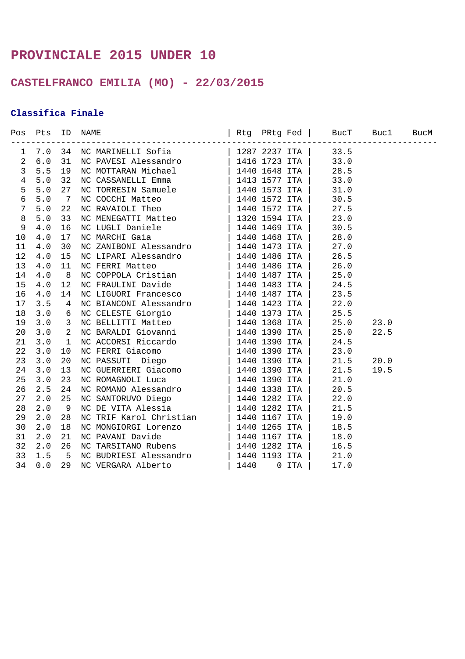## **PROVINCIALE 2015 UNDER 10**

## **CASTELFRANCO EMILIA (MO) - 22/03/2015**

### **Classifica Finale**

|                |  | Pos Pts ID NAME $\vert$ Rtg PRtg Fed   BucT Bucl BucM | ---------------------------- |  |
|----------------|--|-------------------------------------------------------|------------------------------|--|
| $\mathbf{1}$   |  |                                                       |                              |  |
| $\overline{2}$ |  |                                                       |                              |  |
| $\mathbf{3}$   |  |                                                       |                              |  |
| $\overline{4}$ |  |                                                       |                              |  |
| 5              |  |                                                       |                              |  |
| $\epsilon$     |  |                                                       |                              |  |
| $\overline{7}$ |  |                                                       |                              |  |
| $\,8\,$        |  |                                                       |                              |  |
| 9              |  |                                                       |                              |  |
| 10             |  |                                                       |                              |  |
| 11             |  |                                                       |                              |  |
| 12             |  |                                                       |                              |  |
| 13             |  |                                                       |                              |  |
| 14             |  |                                                       |                              |  |
| 15             |  |                                                       |                              |  |
| 16             |  |                                                       |                              |  |
| 17             |  |                                                       |                              |  |
| 18             |  |                                                       |                              |  |
| 19             |  |                                                       |                              |  |
| 20             |  |                                                       |                              |  |
| 21             |  |                                                       |                              |  |
| 22             |  |                                                       |                              |  |
| 23             |  |                                                       |                              |  |
| 24             |  |                                                       |                              |  |
| 25             |  |                                                       |                              |  |
| 26             |  |                                                       |                              |  |
| 27             |  |                                                       |                              |  |
| 28             |  |                                                       |                              |  |
| 29             |  |                                                       |                              |  |
| 30             |  |                                                       |                              |  |
| 31             |  |                                                       |                              |  |
| 32             |  |                                                       |                              |  |
| 33             |  |                                                       |                              |  |
| 34             |  |                                                       |                              |  |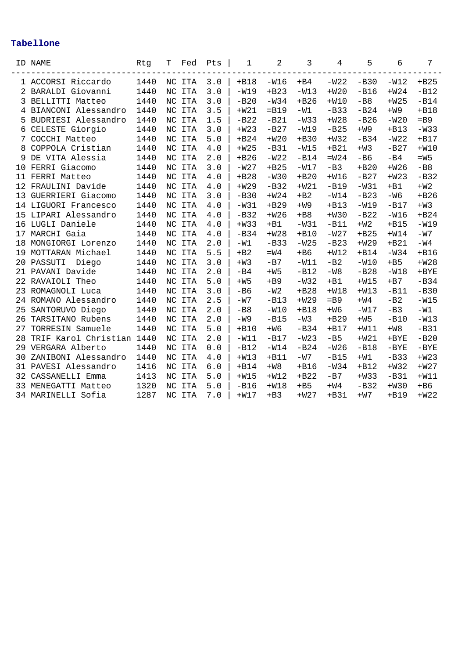|    | ID NAME               | Rtg  | Т           | Fed        | Pts | 1      | 2       | 3      | 4      | 5      | 6       | 7       |
|----|-----------------------|------|-------------|------------|-----|--------|---------|--------|--------|--------|---------|---------|
|    | 1 ACCORSI Riccardo    | 1440 |             | NC ITA     | 3.0 | $+B18$ | $-W16$  | $+B4$  | $-W22$ | $-B30$ | $-W12$  | $+B25$  |
|    | 2 BARALDI Giovanni    | 1440 | NC          | <b>ITA</b> | 3.0 | $-W19$ | $+B23$  | $-W13$ | $+W20$ | $-B16$ | $+W24$  | $-B12$  |
| 3  | BELLITTI Matteo       | 1440 | NC          | <b>ITA</b> | 3.0 | $-B20$ | $-W34$  | $+B26$ | $+W10$ | $-B8$  | $+W25$  | $-B14$  |
|    | 4 BIANCONI Alessandro | 1440 |             | NC ITA     | 3.5 | $+W21$ | $=$ B19 | $-W1$  | $-B33$ | $-B24$ | $+W9$   | $+B18$  |
|    | 5 BUDRIESI Alessandro | 1440 |             | NC ITA     | 1.5 | $-B22$ | $-B21$  | $-W33$ | $+W28$ | $-B26$ | $-W20$  | $=$ B9  |
| 6  | CELESTE Giorgio       | 1440 |             | NC ITA     | 3.0 | $+W23$ | $-B27$  | $-W19$ | $-B25$ | $+W9$  | $+B13$  | $-W33$  |
| 7  | COCCHI Matteo         | 1440 |             | NC ITA     | 5.0 | $+B24$ | $+W20$  | $+B30$ | $+W32$ | $-B34$ | $-W22$  | $+B17$  |
| 8  | COPPOLA Cristian      | 1440 | NC          | <b>ITA</b> | 4.0 | $+W25$ | $-B31$  | $-W15$ | $+B21$ | $+W3$  | $-B27$  | $+W10$  |
| 9  | DE VITA Alessia       | 1440 | $_{\rm NC}$ | <b>ITA</b> | 2.0 | $+B26$ | $-W22$  | $-B14$ | $=W24$ | $-B6$  | $-B4$   | $=W5$   |
| 10 | FERRI Giacomo         | 1440 | NC          | <b>ITA</b> | 3.0 | $-W27$ | $+B25$  | $-W17$ | $-B3$  | $+B20$ | $+W26$  | $-B8$   |
| 11 | FERRI Matteo          | 1440 | NC          | <b>ITA</b> | 4.0 | $+B28$ | $-W30$  | $+B20$ | $+W16$ | $-B27$ | $+W23$  | $-B32$  |
| 12 | FRAULINI Davide       | 1440 | NC          | <b>ITA</b> | 4.0 | $+W29$ | $-B32$  | $+W21$ | $-B19$ | $-W31$ | $+B1$   | $+W2$   |
| 13 | GUERRIERI Giacomo     | 1440 |             | NC ITA     | 3.0 | $-B30$ | $+W24$  | $+B2$  | $-W14$ | $-B23$ | $-W6$   | $+B26$  |
| 14 | LIGUORI Francesco     | 1440 |             | NC ITA     | 4.0 | $-W31$ | $+B29$  | $+W9$  | $+B13$ | $-W19$ | $-B17$  | $+W3$   |
| 15 | LIPARI Alessandro     | 1440 |             | NC ITA     | 4.0 | $-B32$ | $+W26$  | $+B8$  | $+W30$ | $-B22$ | $-W16$  | $+B24$  |
| 16 | LUGLI Daniele         | 1440 |             | NC ITA     | 4.0 | $+W33$ | $+B1$   | $-W31$ | $-B11$ | $+W2$  | $+B15$  | $-W19$  |
| 17 | MARCHI Gaia           | 1440 |             | NC ITA     | 4.0 | $-B34$ | $+W28$  | $+B10$ | $-W27$ | $+B25$ | $+W14$  | $-W7$   |
| 18 | MONGIORGI Lorenzo     | 1440 |             | NC ITA     | 2.0 | $-W1$  | $-B33$  | $-W25$ | $-B23$ | $+W29$ | $+B21$  | $-W4$   |
| 19 | MOTTARAN Michael      | 1440 | NC          | <b>ITA</b> | 5.5 | $+B2$  | $=W4$   | $+B6$  | $+W12$ | $+B14$ | $-W34$  | $+B16$  |
| 20 | PASSUTI<br>Diego      | 1440 | NC          | <b>ITA</b> | 3.0 | $+W3$  | $-B7$   | $-W11$ | $-B2$  | $-W10$ | $+B5$   | $+W28$  |
| 21 | PAVANI Davide         | 1440 | NC          | <b>ITA</b> | 2.0 | $-B4$  | $+W5$   | $-B12$ | $-W8$  | $-B28$ | $-W18$  | $+$ BYE |
| 22 | RAVAIOLI Theo         | 1440 |             | NC ITA     | 5.0 | $+W5$  | $+B9$   | $-W32$ | $+B1$  | $+W15$ | $+B7$   | $-B34$  |
| 23 | ROMAGNOLI Luca        | 1440 |             | NC ITA     | 3.0 | $-B6$  | $-W2$   | $+B28$ | $+W18$ | $+W13$ | $-B11$  | $-B30$  |
| 24 | ROMANO Alessandro     | 1440 | NC          | ITA        | 2.5 | $-W7$  | $-B13$  | $+W29$ | $=$ B9 | $+W4$  | $-B2$   | $-W15$  |
| 25 | SANTORUVO Diego       | 1440 |             | NC ITA     | 2.0 | $-B8$  | $-W10$  | $+B18$ | $+W6$  | $-W17$ | $-B3$   | $-W1$   |
| 26 | TARSITANO Rubens      | 1440 | NC          | <b>ITA</b> | 2.0 | -W9    | $-B15$  | $-W3$  | $+B29$ | $+W5$  | $-B10$  | $-W13$  |
| 27 | TORRESIN Samuele      | 1440 | NC          | <b>ITA</b> | 5.0 | $+B10$ | $+W6$   | $-B34$ | $+B17$ | $+W11$ | $+W8$   | $-B31$  |
| 28 | TRIF Karol Christian  | 1440 |             | NC ITA     | 2.0 | $-W11$ | $-B17$  | $-W23$ | $-B5$  | $+W21$ | $+$ BYE | $-B20$  |
| 29 | VERGARA Alberto       | 1440 |             | NC ITA     | 0.0 | $-B12$ | $-W14$  | $-B24$ | $-W26$ | $-B18$ | $-BYE$  | $-BYE$  |
| 30 | ZANIBONI Alessandro   | 1440 |             | NC ITA     | 4.0 | $+W13$ | $+B11$  | -W7    | $-B15$ | $+W1$  | $-B33$  | $+W23$  |
| 31 | PAVESI Alessandro     | 1416 |             | NC ITA     | 6.0 | $+B14$ | $+W8$   | $+B16$ | $-W34$ | $+B12$ | $+W32$  | $+W27$  |
| 32 | CASSANELLI Emma       | 1413 |             | NC ITA     | 5.0 | $+W15$ | $+W12$  | $+B22$ | $-B7$  | $+W33$ | $-B31$  | $+W11$  |
| 33 | MENEGATTI Matteo      | 1320 | NC.         | <b>ITA</b> | 5.0 | $-B16$ | $+W18$  | $+B5$  | $+W4$  | $-B32$ | $+W30$  | $+B6$   |
| 34 | MARINELLI Sofia       | 1287 |             | NC ITA     | 7.0 | $+W17$ | $+B3$   | $+W27$ | $+B31$ | $+W7$  | $+B19$  | $+W22$  |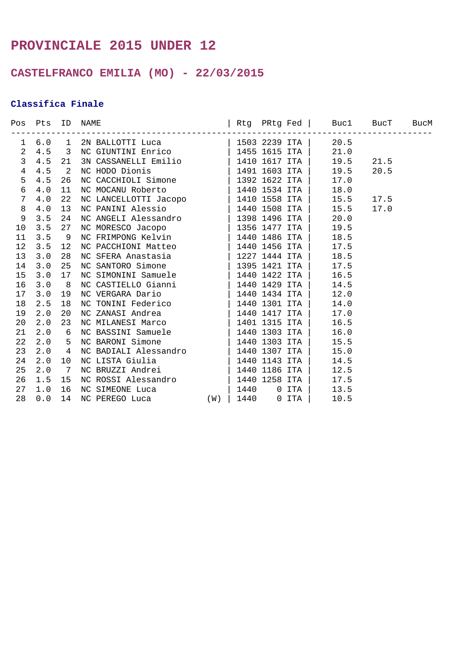# **PROVINCIALE 2015 UNDER 12**

## **CASTELFRANCO EMILIA (MO) - 22/03/2015**

### **Classifica Finale**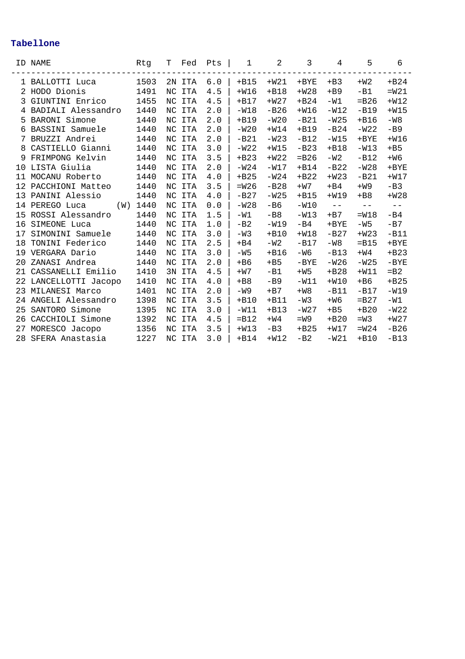|    | ID NAME               | Rtg  | T   | Fed    | Pts | $\mathbf 1$ | 2      | 3       | 4        | 5       | 6       |
|----|-----------------------|------|-----|--------|-----|-------------|--------|---------|----------|---------|---------|
|    | 1 BALLOTTI Luca       | 1503 |     | 2N ITA | 6.0 | $+B15$      | $+W21$ | $+$ BYE | $+B3$    | $+W2$   | $+B24$  |
|    | 2 HODO Dionis         | 1491 |     | NC ITA | 4.5 | $+W16$      | $+B18$ | $+W28$  | $+B9$    | $-B1$   | $=W21$  |
| 3  | GIUNTINI Enrico       | 1455 | NC. | ITA    | 4.5 | $+B17$      | $+W27$ | $+B24$  | $-W1$    | $=$ B26 | $+W12$  |
| 4  | BADIALI Alessandro    | 1440 |     | NC ITA | 2.0 | $-W18$      | $-B26$ | $+W16$  | $-W12$   | $-B19$  | $+W15$  |
| 5. | BARONI Simone         | 1440 | NC. | ITA    | 2.0 | $+B19$      | $-W20$ | $-B21$  | $-W25$   | $+B16$  | $-W8$   |
| 6  | BASSINI Samuele       | 1440 |     | NC ITA | 2.0 | $-W20$      | $+W14$ | $+B19$  | $-B24$   | $-W22$  | $-B9$   |
|    | BRUZZI Andrei         | 1440 | NC. | ITA    | 2.0 | $-B21$      | $-W23$ | $-B12$  | $-W15$   | $+$ BYE | $+W16$  |
| 8  | CASTIELLO Gianni      | 1440 |     | NC ITA | 3.0 | $-W22$      | $+W15$ | $-B23$  | $+B18$   | $-W13$  | $+B5$   |
| 9  | FRIMPONG Kelvin       | 1440 | NC. | ITA    | 3.5 | $+B23$      | $+W22$ | $=$ B26 | $-W2$    | $-B12$  | $+W6$   |
| 10 | LISTA Giulia          | 1440 |     | NC ITA | 2.0 | $-W24$      | $-W17$ | $+B14$  | $-B22$   | $-W28$  | $+$ BYE |
| 11 | MOCANU Roberto        | 1440 | NC. | ITA    | 4.0 | $+B25$      | $-W24$ | $+B22$  | $+W23$   | $-B21$  | $+W17$  |
| 12 | PACCHIONI Matteo      | 1440 | NC. | ITA    | 3.5 | $=W26$      | $-B28$ | $+W7$   | $+B4$    | $+W9$   | $-B3$   |
| 13 | PANINI Alessio        | 1440 | NC. | ITA    | 4.0 | $-B27$      | $-W25$ | $+B15$  | $+W19$   | $+B8$   | $+W28$  |
| 14 | PEREGO Luca<br>(W)    | 1440 | NC. | ITA    | 0.0 | $-W28$      | $-B6$  | $-W10$  | $-\:\:-$ | $-\ -$  | $-\ -$  |
| 15 | ROSSI Alessandro      | 1440 | NC. | ITA    | 1.5 | $-W1$       | $-B8$  | $-W13$  | $+B7$    | $=W18$  | $-B4$   |
| 16 | SIMEONE Luca          | 1440 | NC. | ITA    | 1.0 | $-B2$       | $-W19$ | $-B4$   | $+$ BYE  | $-W5$   | $-B7$   |
| 17 | SIMONINI Samuele      | 1440 |     | NC ITA | 3.0 | $-W3$       | $+B10$ | $+W18$  | $-B27$   | $+W23$  | $-B11$  |
| 18 | TONINI Federico       | 1440 | NC. | ITA    | 2.5 | $+B4$       | $-W2$  | $-B17$  | $-W8$    | $=$ B15 | $+$ BYE |
| 19 | VERGARA Dario         | 1440 |     | NC ITA | 3.0 | $-W5$       | $+B16$ | -W6     | $-B13$   | $+W4$   | $+B23$  |
| 20 | ZANASI Andrea         | 1440 | NC. | ITA    | 2.0 | $+B6$       | $+B5$  | $-BYE$  | $-W26$   | $-W25$  | $-BYE$  |
| 21 | CASSANELLI Emilio     | 1410 |     | 3N ITA | 4.5 | $+W7$       | $-B1$  | $+W5$   | $+B28$   | $+W11$  | $=$ B2  |
|    | 22 LANCELLOTTI Jacopo | 1410 | NC. | ITA    | 4.0 | $+B8$       | $-B9$  | $-W11$  | $+W10$   | $+ B6$  | $+B25$  |
| 23 | MILANESI Marco        | 1401 |     | NC ITA | 2.0 | $-W9$       | $+B7$  | $+W8$   | $-B11$   | $-B17$  | $-W19$  |
| 24 | ANGELI Alessandro     | 1398 | NC. | ITA    | 3.5 | $+B10$      | $+B11$ | $-W3$   | $+W6$    | $= B27$ | $-W1$   |
| 25 | SANTORO Simone        | 1395 |     | NC ITA | 3.0 | $-W11$      | $+B13$ | $-W27$  | $+B5$    | $+B20$  | $-W22$  |
| 26 | CACCHIOLI Simone      | 1392 | NC. | ITA    | 4.5 | $=$ B12     | $+W4$  | $= W9$  | $+B20$   | $=$ M 3 | $+W27$  |
| 27 | MORESCO Jacopo        | 1356 | NC  | ITA    | 3.5 | $+W13$      | $-B3$  | $+B25$  | $+W17$   | $=W24$  | $-B26$  |
| 28 | SFERA Anastasia       | 1227 |     | NC ITA | 3.0 | $+B14$      | $+W12$ | $-B2$   | $-W21$   | $+B10$  | $-B13$  |